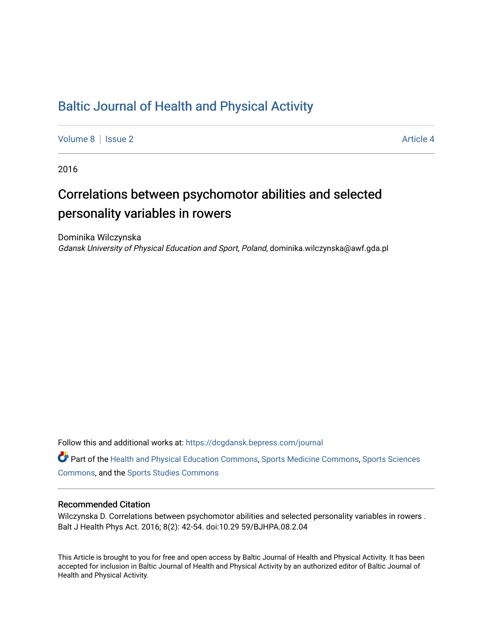# [Baltic Journal of Health and Physical Activity](https://dcgdansk.bepress.com/journal)

[Volume 8](https://dcgdansk.bepress.com/journal/vol8) | [Issue 2](https://dcgdansk.bepress.com/journal/vol8/iss2) Article 4

2016

# Correlations between psychomotor abilities and selected personality variables in rowers

Dominika Wilczynska Gdansk University of Physical Education and Sport, Poland, dominika.wilczynska@awf.gda.pl

Follow this and additional works at: [https://dcgdansk.bepress.com/journal](https://dcgdansk.bepress.com/journal?utm_source=dcgdansk.bepress.com%2Fjournal%2Fvol8%2Fiss2%2F4&utm_medium=PDF&utm_campaign=PDFCoverPages)

Part of the [Health and Physical Education Commons](http://network.bepress.com/hgg/discipline/1327?utm_source=dcgdansk.bepress.com%2Fjournal%2Fvol8%2Fiss2%2F4&utm_medium=PDF&utm_campaign=PDFCoverPages), [Sports Medicine Commons,](http://network.bepress.com/hgg/discipline/1331?utm_source=dcgdansk.bepress.com%2Fjournal%2Fvol8%2Fiss2%2F4&utm_medium=PDF&utm_campaign=PDFCoverPages) [Sports Sciences](http://network.bepress.com/hgg/discipline/759?utm_source=dcgdansk.bepress.com%2Fjournal%2Fvol8%2Fiss2%2F4&utm_medium=PDF&utm_campaign=PDFCoverPages) [Commons](http://network.bepress.com/hgg/discipline/759?utm_source=dcgdansk.bepress.com%2Fjournal%2Fvol8%2Fiss2%2F4&utm_medium=PDF&utm_campaign=PDFCoverPages), and the [Sports Studies Commons](http://network.bepress.com/hgg/discipline/1198?utm_source=dcgdansk.bepress.com%2Fjournal%2Fvol8%2Fiss2%2F4&utm_medium=PDF&utm_campaign=PDFCoverPages) 

#### Recommended Citation

Wilczynska D. Correlations between psychomotor abilities and selected personality variables in rowers . Balt J Health Phys Act. 2016; 8(2): 42-54. doi:10.29 59/BJHPA.08.2.04

This Article is brought to you for free and open access by Baltic Journal of Health and Physical Activity. It has been accepted for inclusion in Baltic Journal of Health and Physical Activity by an authorized editor of Baltic Journal of Health and Physical Activity.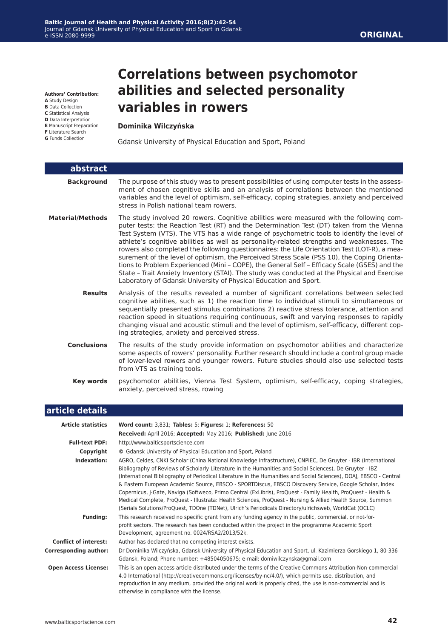**Authors' Contribution:**

- **A** Study Design
- **B** Data Collection **C** Statistical Analysis
- **D** Data Interpretation
- **E** Manuscript Preparation
- **F** Literature Search
- **G** Funds Collection

Ī

# **Correlations between psychomotor abilities and selected personality variables in rowers**

#### **Dominika Wilczyńska**

Gdansk University of Physical Education and Sport, Poland

| abstract                |                                                                                                                                                                                                                                                                                                                                                                                                                                                                                                                                                                                                                                                                                                                                                                                                                                                      |
|-------------------------|------------------------------------------------------------------------------------------------------------------------------------------------------------------------------------------------------------------------------------------------------------------------------------------------------------------------------------------------------------------------------------------------------------------------------------------------------------------------------------------------------------------------------------------------------------------------------------------------------------------------------------------------------------------------------------------------------------------------------------------------------------------------------------------------------------------------------------------------------|
| <b>Background</b>       | The purpose of this study was to present possibilities of using computer tests in the assess-<br>ment of chosen cognitive skills and an analysis of correlations between the mentioned<br>variables and the level of optimism, self-efficacy, coping strategies, anxiety and perceived<br>stress in Polish national team rowers.                                                                                                                                                                                                                                                                                                                                                                                                                                                                                                                     |
| <b>Material/Methods</b> | The study involved 20 rowers. Cognitive abilities were measured with the following com-<br>puter tests: the Reaction Test (RT) and the Determination Test (DT) taken from the Vienna<br>Test System (VTS). The VTS has a wide range of psychometric tools to identify the level of<br>athlete's cognitive abilities as well as personality-related strengths and weaknesses. The<br>rowers also completed the following questionnaires: the Life Orientation Test (LOT-R), a mea-<br>surement of the level of optimism, the Perceived Stress Scale (PSS 10), the Coping Orienta-<br>tions to Problem Experienced (Mini - COPE), the General Self - Efficacy Scale (GSES) and the<br>State - Trait Anxiety Inventory (STAI). The study was conducted at the Physical and Exercise<br>Laboratory of Gdansk University of Physical Education and Sport. |
| <b>Results</b>          | Analysis of the results revealed a number of significant correlations between selected<br>cognitive abilities, such as 1) the reaction time to individual stimuli to simultaneous or<br>sequentially presented stimulus combinations 2) reactive stress tolerance, attention and<br>reaction speed in situations requiring continuous, swift and varying responses to rapidly<br>changing visual and acoustic stimuli and the level of optimism, self-efficacy, different cop-<br>ing strategies, anxiety and perceived stress.                                                                                                                                                                                                                                                                                                                      |
| <b>Conclusions</b>      | The results of the study provide information on psychomotor abilities and characterize<br>some aspects of rowers' personality. Further research should include a control group made<br>of lower-level rowers and younger rowers. Future studies should also use selected tests<br>from VTS as training tools.                                                                                                                                                                                                                                                                                                                                                                                                                                                                                                                                        |
| <b>Key words</b>        | psychomotor abilities, Vienna Test System, optimism, self-efficacy, coping strategies,<br>anxiety, perceived stress, rowing                                                                                                                                                                                                                                                                                                                                                                                                                                                                                                                                                                                                                                                                                                                          |
| مانحهمام مامنهم         |                                                                                                                                                                                                                                                                                                                                                                                                                                                                                                                                                                                                                                                                                                                                                                                                                                                      |

|  | article details |  |
|--|-----------------|--|
|  |                 |  |

| <b>Article statistics</b>    | Word count: 3,831; Tables: 5; Figures: 1; References: 50                                                                                                                                                                                                                                                                                                                                                                                                                                                                                                                                                                                                                                                                                                                                             |
|------------------------------|------------------------------------------------------------------------------------------------------------------------------------------------------------------------------------------------------------------------------------------------------------------------------------------------------------------------------------------------------------------------------------------------------------------------------------------------------------------------------------------------------------------------------------------------------------------------------------------------------------------------------------------------------------------------------------------------------------------------------------------------------------------------------------------------------|
|                              | Received: April 2016; Accepted: May 2016; Published: June 2016                                                                                                                                                                                                                                                                                                                                                                                                                                                                                                                                                                                                                                                                                                                                       |
| <b>Full-text PDF:</b>        | http://www.balticsportscience.com                                                                                                                                                                                                                                                                                                                                                                                                                                                                                                                                                                                                                                                                                                                                                                    |
| Copyright                    | © Gdansk University of Physical Education and Sport, Poland                                                                                                                                                                                                                                                                                                                                                                                                                                                                                                                                                                                                                                                                                                                                          |
| Indexation:                  | AGRO, Celdes, CNKI Scholar (China National Knowledge Infrastructure), CNPIEC, De Gruyter - IBR (International<br>Bibliography of Reviews of Scholarly Literature in the Humanities and Social Sciences), De Gruyter - IBZ<br>(International Bibliography of Periodical Literature in the Humanities and Social Sciences), DOAJ, EBSCO - Central<br>& Eastern European Academic Source, EBSCO - SPORTDiscus, EBSCO Discovery Service, Google Scholar, Index<br>Copernicus, J-Gate, Naviga (Softweco, Primo Central (ExLibris), ProQuest - Family Health, ProQuest - Health &<br>Medical Complete, ProQuest - Illustrata: Health Sciences, ProQuest - Nursing & Allied Health Source, Summon<br>(Serials Solutions/ProQuest, TDOne (TDNet), Ulrich's Periodicals Directory/ulrichsweb, WorldCat (OCLC) |
| <b>Funding:</b>              | This research received no specific grant from any funding agency in the public, commercial, or not-for-<br>profit sectors. The research has been conducted within the project in the programme Academic Sport<br>Development, agreement no. 0024/RSA2/2013/52k.                                                                                                                                                                                                                                                                                                                                                                                                                                                                                                                                      |
| <b>Conflict of interest:</b> | Author has declared that no competing interest exists.                                                                                                                                                                                                                                                                                                                                                                                                                                                                                                                                                                                                                                                                                                                                               |
| <b>Corresponding author:</b> | Dr Dominika Wilczyńska, Gdansk University of Physical Education and Sport, ul. Kazimierza Gorskiego 1, 80-336<br>Gdansk, Poland; Phone number: +48504050675; e-mail: domiwilczynska@gmail.com                                                                                                                                                                                                                                                                                                                                                                                                                                                                                                                                                                                                        |
| <b>Open Access License:</b>  | This is an open access article distributed under the terms of the Creative Commons Attribution-Non-commercial<br>4.0 International (http://creativecommons.org/licenses/by-nc/4.0/), which permits use, distribution, and<br>reproduction in any medium, provided the original work is properly cited, the use is non-commercial and is<br>otherwise in compliance with the license.                                                                                                                                                                                                                                                                                                                                                                                                                 |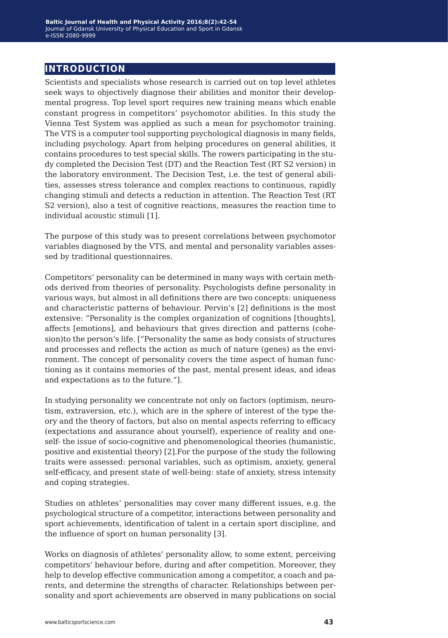## **introduction**

Scientists and specialists whose research is carried out on top level athletes seek ways to objectively diagnose their abilities and monitor their developmental progress. Top level sport requires new training means which enable constant progress in competitors' psychomotor abilities. In this study the Vienna Test System was applied as such a mean for psychomotor training. The VTS is a computer tool supporting psychological diagnosis in many fields, including psychology. Apart from helping procedures on general abilities, it contains procedures to test special skills. The rowers participating in the study completed the Decision Test (DT) and the Reaction Test (RT S2 version) in the laboratory environment. The Decision Test, i.e. the test of general abilities, assesses stress tolerance and complex reactions to continuous, rapidly changing stimuli and detects a reduction in attention. The Reaction Test (RT S2 version), also a test of cognitive reactions, measures the reaction time to individual acoustic stimuli [1].

The purpose of this study was to present correlations between psychomotor variables diagnosed by the VTS, and mental and personality variables assessed by traditional questionnaires.

Competitors' personality can be determined in many ways with certain methods derived from theories of personality. Psychologists define personality in various ways, but almost in all definitions there are two concepts: uniqueness and characteristic patterns of behaviour. Pervin's [2] definitions is the most extensive: "Personality is the complex organization of cognitions [thoughts], affects [emotions], and behaviours that gives direction and patterns (cohesion)to the person's life. ["Personality the same as body consists of structures and processes and reflects the action as much of nature (genes) as the environment. The concept of personality covers the time aspect of human functioning as it contains memories of the past, mental present ideas, and ideas and expectations as to the future."].

In studying personality we concentrate not only on factors (optimism, neurotism, extraversion, etc.), which are in the sphere of interest of the type theory and the theory of factors, but also on mental aspects referring to efficacy (expectations and assurance about yourself), experience of reality and oneself- the issue of socio-cognitive and phenomenological theories (humanistic, positive and existential theory) [2].For the purpose of the study the following traits were assessed: personal variables, such as optimism, anxiety, general self-efficacy, and present state of well-being: state of anxiety, stress intensity and coping strategies.

Studies on athletes' personalities may cover many different issues, e.g. the psychological structure of a competitor, interactions between personality and sport achievements, identification of talent in a certain sport discipline, and the influence of sport on human personality [3].

Works on diagnosis of athletes' personality allow, to some extent, perceiving competitors' behaviour before, during and after competition. Moreover, they help to develop effective communication among a competitor, a coach and parents, and determine the strengths of character. Relationships between personality and sport achievements are observed in many publications on social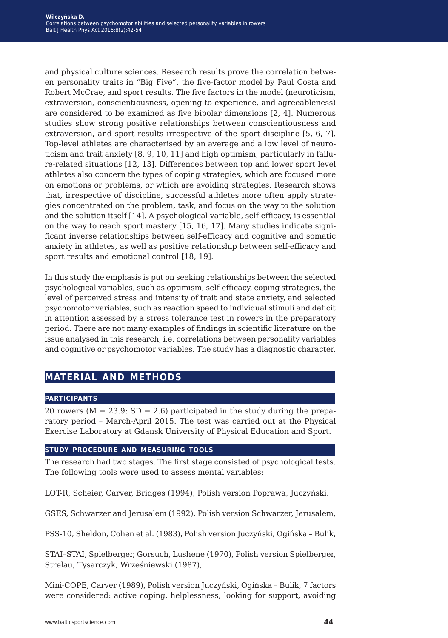and physical culture sciences. Research results prove the correlation between personality traits in "Big Five", the five-factor model by Paul Costa and Robert McCrae, and sport results. The five factors in the model (neuroticism, extraversion, conscientiousness, opening to experience, and agreeableness) are considered to be examined as five bipolar dimensions [2, 4]. Numerous studies show strong positive relationships between conscientiousness and extraversion, and sport results irrespective of the sport discipline [5, 6, 7]. Top-level athletes are characterised by an average and a low level of neuroticism and trait anxiety [8, 9, 10, 11] and high optimism, particularly in failure-related situations [12, 13]. Differences between top and lower sport level athletes also concern the types of coping strategies, which are focused more on emotions or problems, or which are avoiding strategies. Research shows that, irrespective of discipline, successful athletes more often apply strategies concentrated on the problem, task, and focus on the way to the solution and the solution itself [14]. A psychological variable, self-efficacy, is essential on the way to reach sport mastery [15, 16, 17]. Many studies indicate significant inverse relationships between self-efficacy and cognitive and somatic anxiety in athletes, as well as positive relationship between self-efficacy and sport results and emotional control [18, 19].

In this study the emphasis is put on seeking relationships between the selected psychological variables, such as optimism, self-efficacy, coping strategies, the level of perceived stress and intensity of trait and state anxiety, and selected psychomotor variables, such as reaction speed to individual stimuli and deficit in attention assessed by a stress tolerance test in rowers in the preparatory period. There are not many examples of findings in scientific literature on the issue analysed in this research, i.e. correlations between personality variables and cognitive or psychomotor variables. The study has a diagnostic character.

# **material and methods**

#### **participants**

20 rowers ( $M = 23.9$ ; SD = 2.6) participated in the study during the preparatory period – March-April 2015. The test was carried out at the Physical Exercise Laboratory at Gdansk University of Physical Education and Sport.

#### **study procedure and measuring tools**

The research had two stages. The first stage consisted of psychological tests. The following tools were used to assess mental variables:

LOT-R, Scheier, Carver, Bridges (1994), Polish version Poprawa, Juczyński,

GSES, Schwarzer and Jerusalem (1992), Polish version Schwarzer, Jerusalem,

PSS-10, Sheldon, Cohen et al. (1983), Polish version Juczyński, Ogińska – Bulik,

STAI–STAI, Spielberger, Gorsuch, Lushene (1970), Polish version Spielberger, Strelau, Tysarczyk, Wrześniewski (1987),

Mini-COPE, Carver (1989), Polish version Juczyński, Ogińska – Bulik, 7 factors were considered: active coping, helplessness, looking for support, avoiding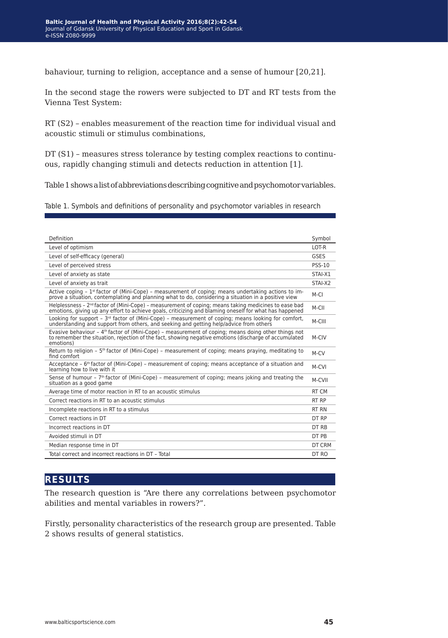bahaviour, turning to religion, acceptance and a sense of humour [20,21].

In the second stage the rowers were subjected to DT and RT tests from the Vienna Test System:

RT (S2) – enables measurement of the reaction time for individual visual and acoustic stimuli or stimulus combinations,

DT (S1) – measures stress tolerance by testing complex reactions to continuous, rapidly changing stimuli and detects reduction in attention [1].

Table 1 shows a list of abbreviations describing cognitive and psychomotor variables.

Table 1. Symbols and definitions of personality and psychomotor variables in research

| Definition                                                                                                                                                                                                                  | Symbol        |
|-----------------------------------------------------------------------------------------------------------------------------------------------------------------------------------------------------------------------------|---------------|
| Level of optimism                                                                                                                                                                                                           | LOT-R         |
| Level of self-efficacy (general)                                                                                                                                                                                            | GSES          |
| Level of perceived stress                                                                                                                                                                                                   | <b>PSS-10</b> |
| Level of anxiety as state                                                                                                                                                                                                   | STAI-X1       |
| Level of anxiety as trait                                                                                                                                                                                                   | STAI-X2       |
| Active coping - $1st$ factor of (Mini-Cope) - measurement of coping; means undertaking actions to im-<br>prove a situation, contemplating and planning what to do, considering a situation in a positive view               | $M-CI$        |
| Helplessness - $2nd$ factor of (Mini-Cope) - measurement of coping; means taking medicines to ease bad<br>emotions, giving up any effort to achieve goals, criticizing and blaming oneself for what has happened            | M-CII         |
| Looking for support - $3rd$ factor of (Mini-Cope) - measurement of coping; means looking for comfort,<br>understanding and support from others, and seeking and getting help/advice from others                             | M-CIII        |
| Evasive behaviour - $4th$ factor of (Mini-Cope) - measurement of coping; means doing other things not<br>to remember the situation, rejection of the fact, showing negative emotions (discharge of accumulated<br>emotions) | M-CIV         |
| Return to religion - $5th$ factor of (Mini-Cope) - measurement of coping; means praying, meditating to<br>find comfort                                                                                                      | $M-CV$        |
| Acceptance – $6th$ factor of (Mini-Cope) – measurement of coping; means acceptance of a situation and<br>learning how to live with it                                                                                       | M-CVI         |
| Sense of humour - $7th$ factor of (Mini-Cope) - measurement of coping; means joking and treating the<br>situation as a good game                                                                                            | M-CVII        |
| Average time of motor reaction in RT to an acoustic stimulus                                                                                                                                                                | RT CM         |
| Correct reactions in RT to an acoustic stimulus                                                                                                                                                                             | RT RP         |
| Incomplete reactions in RT to a stimulus                                                                                                                                                                                    | RT RN         |
| Correct reactions in DT                                                                                                                                                                                                     | DT RP         |
| Incorrect reactions in DT                                                                                                                                                                                                   | DT RB         |
| Avoided stimuli in DT                                                                                                                                                                                                       | DT PR         |
| Median response time in DT                                                                                                                                                                                                  | DT CRM        |
| Total correct and incorrect reactions in DT - Total                                                                                                                                                                         | DT RO         |

## **results**

The research question is "Are there any correlations between psychomotor abilities and mental variables in rowers?".

Firstly, personality characteristics of the research group are presented. Table 2 shows results of general statistics.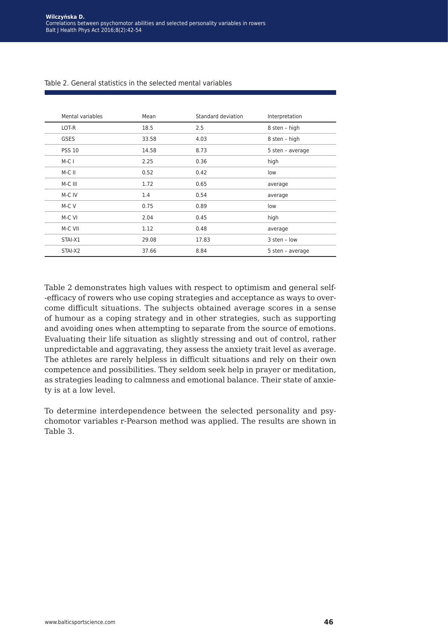| Mental variables | Mean  | Standard deviation | Interpretation   |
|------------------|-------|--------------------|------------------|
| LOT-R            | 18.5  | 2.5                | 8 sten - high    |
| <b>GSES</b>      | 33.58 | 4.03               | 8 sten - high    |
| <b>PSS 10</b>    | 14.58 | 8.73               | 5 sten - average |
| $M-CI$           | 2.25  | 0.36               | high             |
| $M-C$ II         | 0.52  | 0.42               | low              |
| M-C III          | 1.72  | 0.65               | average          |
| M-C IV           | 1.4   | 0.54               | average          |
| M-C V            | 0.75  | 0.89               | low              |
| M-C VI           | 2.04  | 0.45               | high             |
| M-C VII          | 1.12  | 0.48               | average          |
| STAI-X1          | 29.08 | 17.83              | 3 sten - low     |
| STAI-X2          | 37.66 | 8.84               | 5 sten - average |

#### Table 2. General statistics in the selected mental variables

Table 2 demonstrates high values with respect to optimism and general self- -efficacy of rowers who use coping strategies and acceptance as ways to overcome difficult situations. The subjects obtained average scores in a sense of humour as a coping strategy and in other strategies, such as supporting and avoiding ones when attempting to separate from the source of emotions. Evaluating their life situation as slightly stressing and out of control, rather unpredictable and aggravating, they assess the anxiety trait level as average. The athletes are rarely helpless in difficult situations and rely on their own competence and possibilities. They seldom seek help in prayer or meditation, as strategies leading to calmness and emotional balance. Their state of anxiety is at a low level.

To determine interdependence between the selected personality and psychomotor variables r-Pearson method was applied. The results are shown in Table 3.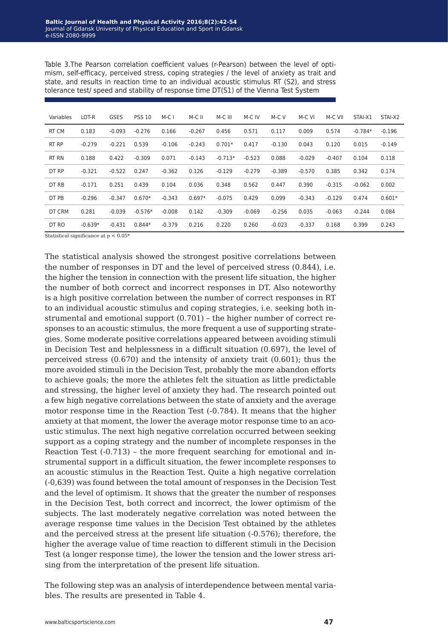| Variables | LOT-R     | <b>GSES</b> | <b>PSS 10</b> | $M-CI$   | M-C II   | M-C III   | M-C IV   | M-C V    | M-C VI   | M-C VII  | STAI-X1   | STAI-X2  |
|-----------|-----------|-------------|---------------|----------|----------|-----------|----------|----------|----------|----------|-----------|----------|
| RT CM     | 0.183     | $-0.093$    | $-0.276$      | 0.166    | $-0.267$ | 0.456     | 0.571    | 0.117    | 0.009    | 0.574    | $-0.784*$ | $-0.196$ |
| RT RP     | $-0.279$  | $-0.221$    | 0.539         | $-0.106$ | $-0.243$ | $0.701*$  | 0.417    | $-0.130$ | 0.043    | 0.120    | 0.015     | $-0.149$ |
| RT RN     | 0.188     | 0.422       | $-0.309$      | 0.071    | $-0.143$ | $-0.713*$ | $-0.523$ | 0.088    | $-0.029$ | $-0.407$ | 0.104     | 0.118    |
| DT RP     | $-0.321$  | $-0.522$    | 0.247         | $-0.362$ | 0.126    | $-0.129$  | $-0.279$ | $-0.389$ | $-0.570$ | 0.385    | 0.342     | 0.174    |
| DT RB     | $-0.171$  | 0.251       | 0.439         | 0.104    | 0.036    | 0.348     | 0.562    | 0.447    | 0.390    | $-0.315$ | $-0.062$  | 0.002    |
| DT PB     | $-0.296$  | $-0.347$    | $0.670*$      | $-0.343$ | $0.697*$ | $-0.075$  | 0.429    | 0.099    | $-0.343$ | $-0.129$ | 0.474     | $0.601*$ |
| DT CRM    | 0.281     | $-0.039$    | $-0.576*$     | $-0.008$ | 0.142    | $-0.309$  | $-0.069$ | $-0.256$ | 0.035    | $-0.063$ | $-0.244$  | 0.084    |
| DT RO     | $-0.639*$ | $-0.431$    | $0.844*$      | $-0.379$ | 0.216    | 0.220     | 0.260    | $-0.023$ | $-0.337$ | 0.168    | 0.399     | 0.243    |

Table 3.The Pearson correlation coefficient values (r-Pearson) between the level of optimism, self-efficacy, perceived stress, coping strategies / the level of anxiety as trait and state, and results in reaction time to an individual acoustic stimulus RT (S2), and stress tolerance test/ speed and stability of response time DT(S1) of the Vienna Test System

Statistical significance at  $p < 0.05^*$ 

The statistical analysis showed the strongest positive correlations between the number of responses in DT and the level of perceived stress (0.844), i.e. the higher the tension in connection with the present life situation, the higher the number of both correct and incorrect responses in DT. Also noteworthy is a high positive correlation between the number of correct responses in RT to an individual acoustic stimulus and coping strategies, i.e. seeking both instrumental and emotional support (0.701) – the higher number of correct responses to an acoustic stimulus, the more frequent a use of supporting strategies. Some moderate positive correlations appeared between avoiding stimuli in Decision Test and helplessness in a difficult situation (0.697), the level of perceived stress (0.670) and the intensity of anxiety trait (0.601); thus the more avoided stimuli in the Decision Test, probably the more abandon efforts to achieve goals; the more the athletes felt the situation as little predictable and stressing, the higher level of anxiety they had. The research pointed out a few high negative correlations between the state of anxiety and the average motor response time in the Reaction Test (-0.784). It means that the higher anxiety at that moment, the lower the average motor response time to an acoustic stimulus. The next high negative correlation occurred between seeking support as a coping strategy and the number of incomplete responses in the Reaction Test (-0.713) – the more frequent searching for emotional and instrumental support in a difficult situation, the fewer incomplete responses to an acoustic stimulus in the Reaction Test. Quite a high negative correlation (-0,639) was found between the total amount of responses in the Decision Test and the level of optimism. It shows that the greater the number of responses in the Decision Test, both correct and incorrect, the lower optimism of the subjects. The last moderately negative correlation was noted between the average response time values in the Decision Test obtained by the athletes and the perceived stress at the present life situation (-0.576); therefore, the higher the average value of time reaction to different stimuli in the Decision Test (a longer response time), the lower the tension and the lower stress arising from the interpretation of the present life situation.

The following step was an analysis of interdependence between mental variables. The results are presented in Table 4.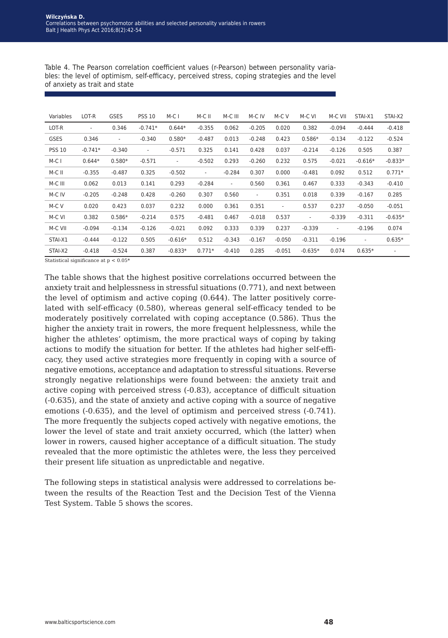| Variables     | LOT-R                    | <b>GSES</b>              | <b>PSS 10</b> | $M-CI$                   | M-C II                   | M-C III                  | M-C IV   | M-C V                    | M-C VI                   | M-C VII                  | STAI-X1                  | STAI-X2                  |
|---------------|--------------------------|--------------------------|---------------|--------------------------|--------------------------|--------------------------|----------|--------------------------|--------------------------|--------------------------|--------------------------|--------------------------|
| LOT-R         | $\overline{\phantom{a}}$ | 0.346                    | $-0.741*$     | $0.644*$                 | $-0.355$                 | 0.062                    | $-0.205$ | 0.020                    | 0.382                    | $-0.094$                 | $-0.444$                 | $-0.418$                 |
| <b>GSES</b>   | 0.346                    | $\overline{\phantom{a}}$ | $-0.340$      | $0.580*$                 | $-0.487$                 | 0.013                    | $-0.248$ | 0.423                    | $0.586*$                 | $-0.134$                 | $-0.122$                 | $-0.524$                 |
| <b>PSS 10</b> | $-0.741*$                | $-0.340$                 | $\sim$        | $-0.571$                 | 0.325                    | 0.141                    | 0.428    | 0.037                    | $-0.214$                 | $-0.126$                 | 0.505                    | 0.387                    |
| M-C I         | $0.644*$                 | $0.580*$                 | $-0.571$      | $\overline{\phantom{a}}$ | $-0.502$                 | 0.293                    | $-0.260$ | 0.232                    | 0.575                    | $-0.021$                 | $-0.616*$                | $-0.833*$                |
| M-C II        | $-0.355$                 | $-0.487$                 | 0.325         | $-0.502$                 | $\overline{\phantom{a}}$ | $-0.284$                 | 0.307    | 0.000                    | $-0.481$                 | 0.092                    | 0.512                    | $0.771*$                 |
| M-C III       | 0.062                    | 0.013                    | 0.141         | 0.293                    | $-0.284$                 | $\overline{\phantom{a}}$ | 0.560    | 0.361                    | 0.467                    | 0.333                    | $-0.343$                 | $-0.410$                 |
| M-C IV        | $-0.205$                 | $-0.248$                 | 0.428         | $-0.260$                 | 0.307                    | 0.560                    | ٠        | 0.351                    | 0.018                    | 0.339                    | $-0.167$                 | 0.285                    |
| M-C V         | 0.020                    | 0.423                    | 0.037         | 0.232                    | 0.000                    | 0.361                    | 0.351    | $\overline{\phantom{a}}$ | 0.537                    | 0.237                    | $-0.050$                 | $-0.051$                 |
| M-C VI        | 0.382                    | $0.586*$                 | $-0.214$      | 0.575                    | $-0.481$                 | 0.467                    | $-0.018$ | 0.537                    | $\overline{\phantom{a}}$ | $-0.339$                 | $-0.311$                 | $-0.635*$                |
| M-C VII       | $-0.094$                 | $-0.134$                 | $-0.126$      | $-0.021$                 | 0.092                    | 0.333                    | 0.339    | 0.237                    | $-0.339$                 | $\overline{\phantom{a}}$ | $-0.196$                 | 0.074                    |
| STAI-X1       | $-0.444$                 | $-0.122$                 | 0.505         | $-0.616*$                | 0.512                    | $-0.343$                 | $-0.167$ | $-0.050$                 | $-0.311$                 | $-0.196$                 | $\overline{\phantom{a}}$ | $0.635*$                 |
| STAI-X2       | $-0.418$                 | $-0.524$                 | 0.387         | $-0.833*$                | $0.771*$                 | $-0.410$                 | 0.285    | $-0.051$                 | $-0.635*$                | 0.074                    | $0.635*$                 | $\overline{\phantom{a}}$ |

Table 4. The Pearson correlation coefficient values (r-Pearson) between personality variables: the level of optimism, self-efficacy, perceived stress, coping strategies and the level of anxiety as trait and state

Statistical significance at  $p < 0.05^*$ 

The table shows that the highest positive correlations occurred between the anxiety trait and helplessness in stressful situations (0.771), and next between the level of optimism and active coping (0.644). The latter positively correlated with self-efficacy (0.580), whereas general self-efficacy tended to be moderately positively correlated with coping acceptance (0.586). Thus the higher the anxiety trait in rowers, the more frequent helplessness, while the higher the athletes' optimism, the more practical ways of coping by taking actions to modify the situation for better. If the athletes had higher self-efficacy, they used active strategies more frequently in coping with a source of negative emotions, acceptance and adaptation to stressful situations. Reverse strongly negative relationships were found between: the anxiety trait and active coping with perceived stress (-0.83), acceptance of difficult situation (-0.635), and the state of anxiety and active coping with a source of negative emotions (-0.635), and the level of optimism and perceived stress (-0.741). The more frequently the subjects coped actively with negative emotions, the lower the level of state and trait anxiety occurred, which (the latter) when lower in rowers, caused higher acceptance of a difficult situation. The study revealed that the more optimistic the athletes were, the less they perceived their present life situation as unpredictable and negative.

The following steps in statistical analysis were addressed to correlations between the results of the Reaction Test and the Decision Test of the Vienna Test System. Table 5 shows the scores.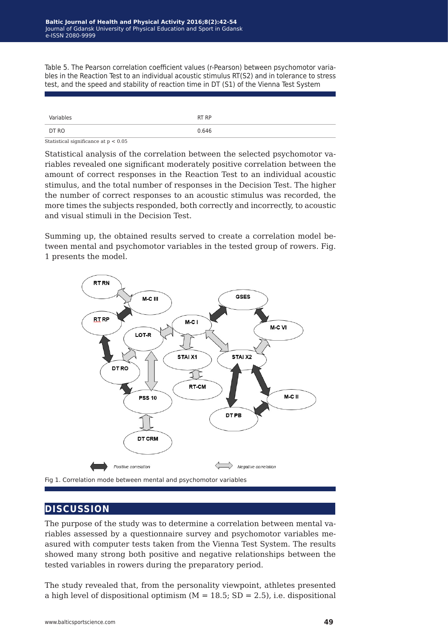Table 5. The Pearson correlation coefficient values (r-Pearson) between psychomotor variables in the Reaction Test to an individual acoustic stimulus RT(S2) and in tolerance to stress test, and the speed and stability of reaction time in DT (S1) of the Vienna Test System

| Variables | RT RP |
|-----------|-------|
| DT RO     | 0.646 |

Statistical significance at p < 0.05

Statistical analysis of the correlation between the selected psychomotor variables revealed one significant moderately positive correlation between the amount of correct responses in the Reaction Test to an individual acoustic stimulus, and the total number of responses in the Decision Test. The higher the number of correct responses to an acoustic stimulus was recorded, the more times the subjects responded, both correctly and incorrectly, to acoustic and visual stimuli in the Decision Test.

Summing up, the obtained results served to create a correlation model between mental and psychomotor variables in the tested group of rowers. Fig. 1 presents the model.



### **discussion**

The purpose of the study was to determine a correlation between mental variables assessed by a questionnaire survey and psychomotor variables measured with computer tests taken from the Vienna Test System. The results showed many strong both positive and negative relationships between the tested variables in rowers during the preparatory period.

The study revealed that, from the personality viewpoint, athletes presented a high level of dispositional optimism ( $M = 18.5$ ; SD = 2.5), i.e. dispositional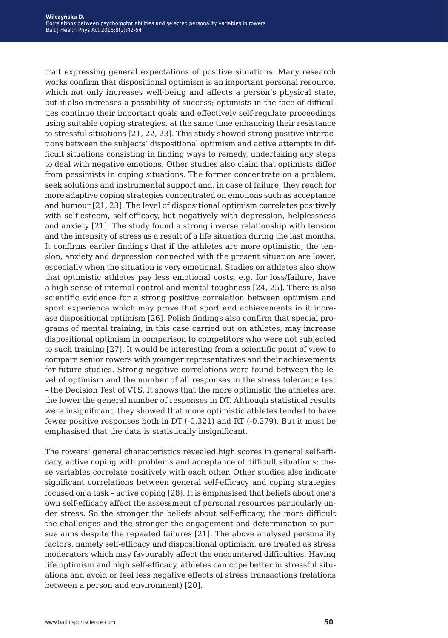trait expressing general expectations of positive situations. Many research works confirm that dispositional optimism is an important personal resource, which not only increases well-being and affects a person's physical state, but it also increases a possibility of success; optimists in the face of difficulties continue their important goals and effectively self-regulate proceedings using suitable coping strategies, at the same time enhancing their resistance to stressful situations [21, 22, 23]. This study showed strong positive interactions between the subjects' dispositional optimism and active attempts in difficult situations consisting in finding ways to remedy, undertaking any steps to deal with negative emotions. Other studies also claim that optimists differ from pessimists in coping situations. The former concentrate on a problem, seek solutions and instrumental support and, in case of failure, they reach for more adaptive coping strategies concentrated on emotions such as acceptance and humour [21, 23]. The level of dispositional optimism correlates positively with self-esteem, self-efficacy, but negatively with depression, helplessness and anxiety [21]. The study found a strong inverse relationship with tension and the intensity of stress as a result of a life situation during the last months. It confirms earlier findings that if the athletes are more optimistic, the tension, anxiety and depression connected with the present situation are lower, especially when the situation is very emotional. Studies on athletes also show that optimistic athletes pay less emotional costs, e.g. for loss/failure, have a high sense of internal control and mental toughness [24, 25]. There is also scientific evidence for a strong positive correlation between optimism and sport experience which may prove that sport and achievements in it increase dispositional optimism [26]. Polish findings also confirm that special programs of mental training, in this case carried out on athletes, may increase dispositional optimism in comparison to competitors who were not subjected to such training [27]. It would be interesting from a scientific point of view to compare senior rowers with younger representatives and their achievements for future studies. Strong negative correlations were found between the level of optimism and the number of all responses in the stress tolerance test – the Decision Test of VTS. It shows that the more optimistic the athletes are, the lower the general number of responses in DT. Although statistical results were insignificant, they showed that more optimistic athletes tended to have fewer positive responses both in DT (-0.321) and RT (-0.279). But it must be emphasised that the data is statistically insignificant.

The rowers' general characteristics revealed high scores in general self-efficacy, active coping with problems and acceptance of difficult situations; these variables correlate positively with each other. Other studies also indicate significant correlations between general self-efficacy and coping strategies focused on a task – active coping [28]. It is emphasised that beliefs about one's own self-efficacy affect the assessment of personal resources particularly under stress. So the stronger the beliefs about self-efficacy, the more difficult the challenges and the stronger the engagement and determination to pursue aims despite the repeated failures [21]. The above analysed personality factors, namely self-efficacy and dispositional optimism, are treated as stress moderators which may favourably affect the encountered difficulties. Having life optimism and high self-efficacy, athletes can cope better in stressful situations and avoid or feel less negative effects of stress transactions (relations between a person and environment) [20].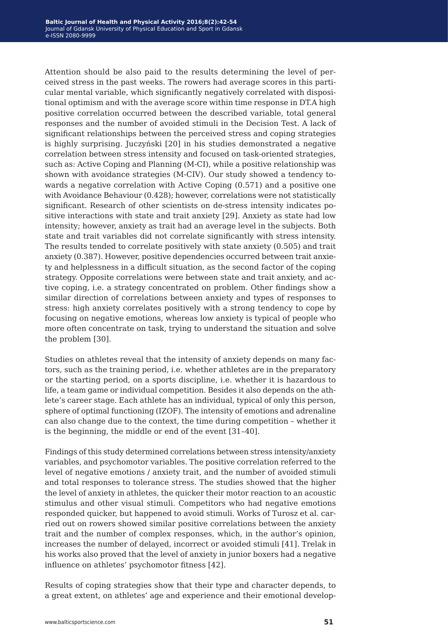Attention should be also paid to the results determining the level of perceived stress in the past weeks. The rowers had average scores in this particular mental variable, which significantly negatively correlated with dispositional optimism and with the average score within time response in DT.A high positive correlation occurred between the described variable, total general responses and the number of avoided stimuli in the Decision Test. A lack of significant relationships between the perceived stress and coping strategies is highly surprising. Juczyński [20] in his studies demonstrated a negative correlation between stress intensity and focused on task-oriented strategies, such as: Active Coping and Planning (M-CI), while a positive relationship was shown with avoidance strategies (M-CIV). Our study showed a tendency towards a negative correlation with Active Coping (0.571) and a positive one with Avoidance Behaviour (0.428); however, correlations were not statistically significant. Research of other scientists on de-stress intensity indicates positive interactions with state and trait anxiety [29]. Anxiety as state had low intensity; however, anxiety as trait had an average level in the subjects. Both state and trait variables did not correlate significantly with stress intensity. The results tended to correlate positively with state anxiety (0.505) and trait anxiety (0.387). However, positive dependencies occurred between trait anxiety and helplessness in a difficult situation, as the second factor of the coping strategy. Opposite correlations were between state and trait anxiety, and active coping, i.e. a strategy concentrated on problem. Other findings show a similar direction of correlations between anxiety and types of responses to stress: high anxiety correlates positively with a strong tendency to cope by focusing on negative emotions, whereas low anxiety is typical of people who more often concentrate on task, trying to understand the situation and solve the problem [30].

Studies on athletes reveal that the intensity of anxiety depends on many factors, such as the training period, i.e. whether athletes are in the preparatory or the starting period, on a sports discipline, i.e. whether it is hazardous to life, a team game or individual competition. Besides it also depends on the athlete's career stage. Each athlete has an individual, typical of only this person, sphere of optimal functioning (IZOF). The intensity of emotions and adrenaline can also change due to the context, the time during competition – whether it is the beginning, the middle or end of the event [31–40].

Findings of this study determined correlations between stress intensity/anxiety variables, and psychomotor variables. The positive correlation referred to the level of negative emotions / anxiety trait, and the number of avoided stimuli and total responses to tolerance stress. The studies showed that the higher the level of anxiety in athletes, the quicker their motor reaction to an acoustic stimulus and other visual stimuli. Competitors who had negative emotions responded quicker, but happened to avoid stimuli. Works of Turosz et al. carried out on rowers showed similar positive correlations between the anxiety trait and the number of complex responses, which, in the author's opinion, increases the number of delayed, incorrect or avoided stimuli [41]. Trelak in his works also proved that the level of anxiety in junior boxers had a negative influence on athletes' psychomotor fitness [42].

Results of coping strategies show that their type and character depends, to a great extent, on athletes' age and experience and their emotional develop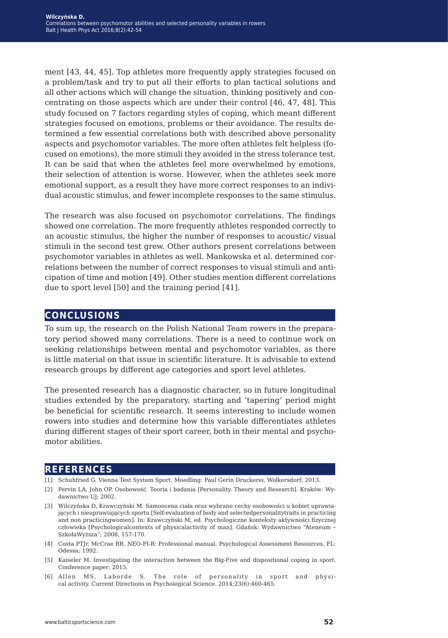ment [43, 44, 45]. Top athletes more frequently apply strategies focused on a problem/task and try to put all their efforts to plan tactical solutions and all other actions which will change the situation, thinking positively and concentrating on those aspects which are under their control [46, 47, 48]. This study focused on 7 factors regarding styles of coping, which meant different strategies focused on emotions, problems or their avoidance. The results determined a few essential correlations both with described above personality aspects and psychomotor variables. The more often athletes felt helpless (focused on emotions), the more stimuli they avoided in the stress tolerance test. It can be said that when the athletes feel more overwhelmed by emotions, their selection of attention is worse. However, when the athletes seek more emotional support, as a result they have more correct responses to an individual acoustic stimulus, and fewer incomplete responses to the same stimulus.

The research was also focused on psychomotor correlations. The findings showed one correlation. The more frequently athletes responded correctly to an acoustic stimulus, the higher the number of responses to acoustic/ visual stimuli in the second test grew. Other authors present correlations between psychomotor variables in athletes as well. Mankowska et al. determined correlations between the number of correct responses to visual stimuli and anticipation of time and motion [49]. Other studies mention different correlations due to sport level [50] and the training period [41].

## **conclusions**

To sum up, the research on the Polish National Team rowers in the preparatory period showed many correlations. There is a need to continue work on seeking relationships between mental and psychomotor variables, as there is little material on that issue in scientific literature. It is advisable to extend research groups by different age categories and sport level athletes.

The presented research has a diagnostic character, so in future longitudinal studies extended by the preparatory, starting and 'tapering' period might be beneficial for scientific research. It seems interesting to include women rowers into studies and determine how this variable differentiates athletes during different stages of their sport career, both in their mental and psychomotor abilities.

#### **references**

- [1] Schuhfried G. Vienna Test System Sport. Moedling: Paul Gerin Druckerei, Wolkersdorf; 2013.
- [2] Pervin LA, John OP. Osobowość. Teoria i badania [Personality. Theory and Research]. Kraków: Wydawnictwo UJ; 2002.
- [3] Wilczyńska D, Krawczyński M. Samoocena ciała oraz wybrane cechy osobowości u kobiet uprawiających i nieuprawiających sportu [Self-evaluation of body and selectedpersonalitytraits in practicing and non practicingwomen]. In: Krawczyński M, ed. Psychologiczne konteksty aktywności fizycznej człowieka [Psychologicalcontexts of physicalactivity of man]. Gdańsk: Wydawnictwo "Ateneum – SzkołaWyższa"; 2008, 157-170.
- [4] Costa PTJr, McCrae RR. NEO-PI-R: Professional manual. Psychological Assessment Resources, FL: Odessa; 1992.
- [5] Kaiseler M. Investigating the interaction between the Big-Five and dispositional coping in sport. Conference paper; 2015.
- [6] Allen MS, Laborde S. The role of personality in sport and physical activity. Current Directions in Psychological Science. 2014;23(6):460-465.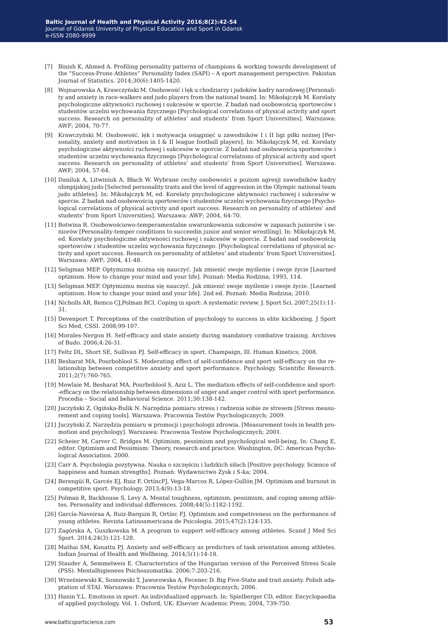- [7] Binish K, Ahmed A. Profiling personality patterns of champions & working towards development of the "Success-Prone Athletes" Personality Index (SAPI) – A sport management perspective. Pakistan Journal of Statistics. 2014;30(6):1405-1420.
- [8] Wojnarowska A, Krawczyński M. Osobowość i lęk u chodziarzy i judoków kadry narodowej [Personality and anxiety in race-walkers and judo players from the national team]. In: Mikołajczyk M. Korelaty psychologiczne aktywności ruchowej i sukcesów w sporcie. Z badań nad osobowością sportowców i studentów uczelni wychowania fizycznego [Psychological correlations of physical activity and sport success. Research on personality of athletes' and students' from Sport Universities]. Warszawa: AWF; 2004, 70-77.
- [9] Krawczyński M. Osobowość, lęk i motywacja osiągnięć u zawodników I i II ligi piłki nożnej [Personality, anxiety and motivation in I & II league football players]. In: Mikołajczyk M, ed. Korelaty psychologiczne aktywności ruchowej i sukcesów w sporcie. Z badań nad osobowością sportowców i studentów uczelni wychowania fizycznego [Psychological correlations of physical activity and sport success. Research on personality of athletes' and students' from Sport Universities]. Warszawa: AWF; 2004, 57-64.
- [10] Daniluk A, Litwiniuk A, Błach W. Wybrane cechy osobowości a poziom agresji zawodników kadry olimpijskiej judo [Selected personality traits and the level of aggression in the Olympic national team judo athletes]. In: Mikołajczyk M, ed. Korelaty psychologiczne aktywności ruchowej i sukcesów w sporcie. Z badań nad osobowością sportowców i studentów uczelni wychowania fizycznego [Psychological correlations of physical activity and sport success. Research on personality of athletes' and students' from Sport Universities]. Warszawa: AWF; 2004, 64-70.
- [11] Botwina R. Osobowościowo-temperamentalne uwarunkowania sukcesów w zapasach juniorów i seniorów [Personality-temper conditions to succeedin junior and senior wrestling]. In: Mikołajczyk M, ed. Korelaty psychologiczne aktywności ruchowej i sukcesów w sporcie. Z badań nad osobowością sportowców i studentów uczelni wychowania fizycznego. [Psychological correlations of physical activity and sport success. Research on personality of athletes' and students' from Sport Universities]. Warszawa: AWF; 2004, 41-48.
- [12] Seligman MEP. Optymizmu można się nauczyć. Jak zmienić swoje myślenie i swoje życie [Learned optimism. How to change your mind and your life]. Poznań: Media Rodzina; 1993, 114.
- [13] Seligman MEP. Optymizmu można się nauczyć. Jak zmienić swoje myślenie i swoje życie. [Learned optimism. How to change your mind and your life]. 2nd ed. Poznań: Media Rodzina; 2010.
- [14] Nicholls AR, Remco CJ,Polman RCI. Coping in sport: A systematic review. J. Sport Sci. 2007;25(1):11- 31.
- [15] Devenport T. Perceptions of the contribution of psychology to success in elite kickboxing. J Sport Sci Med, CSSI. 2008;99-107.
- [16] Morales-Nergon H. Self-efficacy and state anxiety during mandatory combative training. Archives of Budo. 2006;4:26-31.
- [17] Feltz DL, Short SE, Sullivan PJ. Self-efficacy in sport. Champaign, Ill. Human Kinetics; 2008.
- [18] Besharat MA, Pourbohlool S. Moderating effect of self-confidence and sport self-efficacy on the relationship between competitive anxiety and sport performance. Psychology. Scientific Research. 2011;2(7):760-765.
- [19] Mowlaie M, Besharat MA, Pourbohlool S, Aziz L. The mediation effects of self-confidence and sport- -efficacy on the relationship between dimensions of anger and anger control with sport performance. Procedia – Social and behavioral Science. 2011;30:138-142.
- [20] Juczyński Z, Ogińska-Bulik N. Narzędzia pomiaru stresu i radzenia sobie ze stresem [Stress measurement and coping tools]. Warszawa: Pracownia Testów Psychologicznych; 2009.
- [21] Juczyński Z. Narzędzia pomiaru w promocji i psychologii zdrowia. [Measurement tools in health promotion and psychology]. Warszawa: Pracownia Testów Psychologicznych; 2001.
- [22] Scheier M, Carver C, Bridges M. Optimism, pessimism and psychological well-being, In: Chang E, editor. Optimism and Pessimism: Theory, research and practice. Washington, DC: American Psychological Association. 2000.
- [23] Carr A. Psychologia pozytywna. Nauka o szczęściu i ludzkich siłach [Positive psychology. Science of happiness and human strengths]. Poznań: Wydawnictwo Zysk i S-ka; 2004.
- [24] Berengüí R, Garcés EJ, Ruiz F, OrtíncFJ, Vega-Marcos R, López-Gullón JM. Optimism and burnout in competitive sport. Psychology. 2013;4(9):13-18.
- [25] Polman R, Backhouse S, Levy A. Mental toughness, optimism, pessimism, and coping among athletes. Personality and individual differences. 2008;44(5):1182-1192.
- [26] García-Naveiraa A, Ruiz-Barquin R, Ortínc FJ. Optimism and competiveness on the performance of young athletes. Revista Latinoamericana de Psicologia. 2015;47(2):124-135.
- [27] Zagórska A, Guszkowska M. A program to support self-efficacy among athletes. Scand J Med Sci Sport. 2014;24(3):121-128.
- [28] Mathai SM, Konattu PJ. Anxiety and self-efficacy as predictors of task orientation among athletes. Indian Journal of Health and Wellbeing. 2014;5(1):14-18.
- [29] Stauder A, Semmelweis E. Characteristics of the Hungarian version of the Perceived Stress Scale (PSS). Mentalhigienees Psichoszomatika. 2006;7:203-216.
- [30] Wrześniewski K, Sosnowski T, Jaworowska A, Fecenec D. Big Five-State and trait anxiety. Polish adaptation of STAI. Warszawa: Pracownia Testów Psychologicznych; 2006.
- [31] Hanin Y.L. Emotions in sport: An individualized approach. In: Spielberger CD, editor. Encyclopaedia of applied psychology. Vol. 1. Oxford, UK: Elsevier Academic Press; 2004, 739-750.